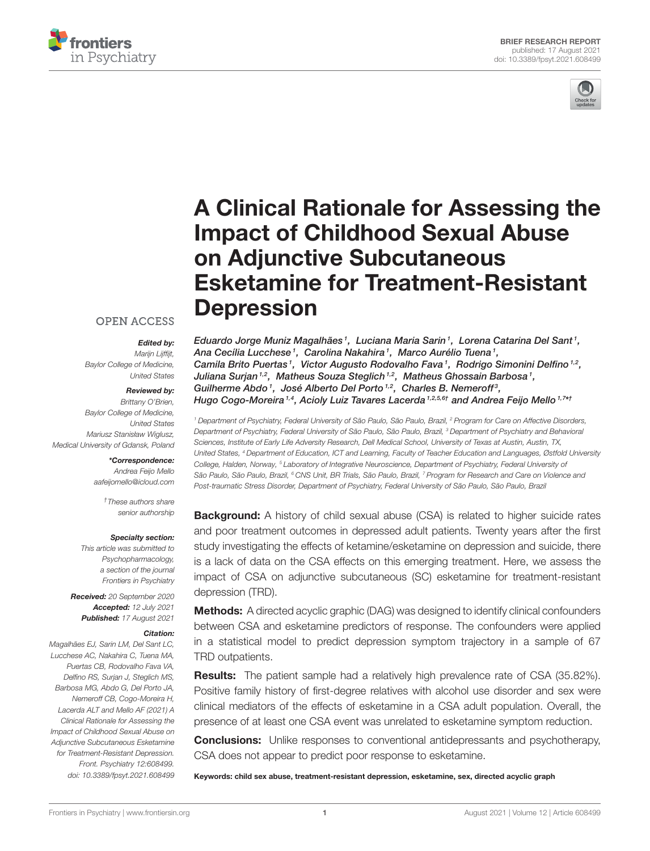



# [A Clinical Rationale for Assessing the](https://www.frontiersin.org/articles/10.3389/fpsyt.2021.608499/full) Impact of Childhood Sexual Abuse on Adjunctive Subcutaneous Esketamine for Treatment-Resistant **Depression**

### **OPEN ACCESS**

Edited by: Marijn Lijffijt, Baylor College of Medicine, United States

#### Reviewed by:

Brittany O'Brien, Baylor College of Medicine, United States Mariusz Stanisław Wiglusz, Medical University of Gdansk, Poland

### \*Correspondence:

Andrea Feijo Mello [aafeijomello@icloud.com](mailto:aafeijomello@icloud.com)

> †These authors share senior authorship

#### Specialty section:

This article was submitted to Psychopharmacology, a section of the journal Frontiers in Psychiatry

Received: 20 September 2020 Accepted: 12 July 2021 Published: 17 August 2021

#### Citation:

Magalhães EJ, Sarin LM, Del Sant LC, Lucchese AC, Nakahira C, Tuena MA, Puertas CB, Rodovalho Fava VA, Delfino RS, Surjan J, Steglich MS, Barbosa MG, Abdo G, Del Porto JA, Nemeroff CB, Cogo-Moreira H, Lacerda ALT and Mello AF (2021) A Clinical Rationale for Assessing the Impact of Childhood Sexual Abuse on Adjunctive Subcutaneous Esketamine for Treatment-Resistant Depression. Front. Psychiatry 12:608499. doi: [10.3389/fpsyt.2021.608499](https://doi.org/10.3389/fpsyt.2021.608499) Eduardo Jorge Muniz Magalhães1, Luciana Maria Sarin1, Lorena Catarina Del Sant1, Ana Cecília Lucchese<sup>1</sup>, Carolina Nakahira<sup>1</sup>, Marco Aurélio Tuena<sup>1</sup>, Camila Brito Puertas1, Victor Augusto Rodovalho Fava1, Rodrigo Simonini Delfino<sup>1,2</sup>, Juliana Surjan 1,2, Matheus Souza Steglich 1,2, Matheus Ghossain Barbosa 1, Guilherme Abdo<sup>1</sup>, José Alberto Del Porto<sup>1,2</sup>, Charles B. Nemeroff<sup>3</sup>, Hugo Cogo-Moreira<sup>1,4</sup>, Acioly Luiz Tavares Lacerda<sup>1,2,5,6†</sup> and Andrea Feijo Mello<sup>1,7\*1</sup>

<sup>1</sup> Department of Psychiatry, Federal University of São Paulo, São Paulo, Brazil, <sup>2</sup> Program for Care on Affective Disorders, Department of Psychiatry, Federal University of São Paulo, São Paulo, Brazil, <sup>3</sup> Department of Psychiatry and Behavioral Sciences, Institute of Early Life Adversity Research, Dell Medical School, University of Texas at Austin, Austin, TX, United States, <sup>4</sup> Department of Education, ICT and Learning, Faculty of Teacher Education and Languages, Østfold University College, Halden, Norway, <sup>5</sup> Laboratory of Integrative Neuroscience, Department of Psychiatry, Federal University of São Paulo, São Paulo, Brazil, <sup>6</sup> CNS Unit, BR Trials, São Paulo, Brazil, 7 Program for Research and Care on Violence and Post-traumatic Stress Disorder, Department of Psychiatry, Federal University of São Paulo, São Paulo, Brazil

**Background:** A history of child sexual abuse (CSA) is related to higher suicide rates and poor treatment outcomes in depressed adult patients. Twenty years after the first study investigating the effects of ketamine/esketamine on depression and suicide, there is a lack of data on the CSA effects on this emerging treatment. Here, we assess the impact of CSA on adjunctive subcutaneous (SC) esketamine for treatment-resistant depression (TRD).

**Methods:** A directed acyclic graphic (DAG) was designed to identify clinical confounders between CSA and esketamine predictors of response. The confounders were applied in a statistical model to predict depression symptom trajectory in a sample of 67 TRD outpatients.

Results: The patient sample had a relatively high prevalence rate of CSA (35.82%). Positive family history of first-degree relatives with alcohol use disorder and sex were clinical mediators of the effects of esketamine in a CSA adult population. Overall, the presence of at least one CSA event was unrelated to esketamine symptom reduction.

**Conclusions:** Unlike responses to conventional antidepressants and psychotherapy, CSA does not appear to predict poor response to esketamine.

Keywords: child sex abuse, treatment-resistant depression, esketamine, sex, directed acyclic graph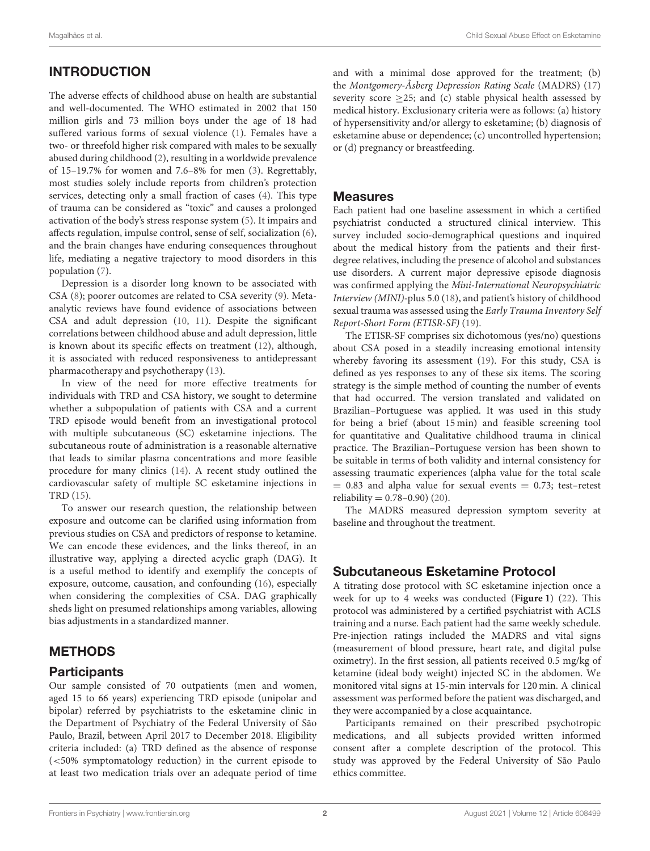# INTRODUCTION

The adverse effects of childhood abuse on health are substantial and well-documented. The WHO estimated in 2002 that 150 million girls and 73 million boys under the age of 18 had suffered various forms of sexual violence [\(1\)](#page-5-0). Females have a two- or threefold higher risk compared with males to be sexually abused during childhood [\(2\)](#page-5-1), resulting in a worldwide prevalence of 15–19.7% for women and 7.6–8% for men [\(3\)](#page-5-2). Regrettably, most studies solely include reports from children's protection services, detecting only a small fraction of cases [\(4\)](#page-5-3). This type of trauma can be considered as "toxic" and causes a prolonged activation of the body's stress response system [\(5\)](#page-5-4). It impairs and affects regulation, impulse control, sense of self, socialization [\(6\)](#page-5-5), and the brain changes have enduring consequences throughout life, mediating a negative trajectory to mood disorders in this population [\(7\)](#page-5-6).

Depression is a disorder long known to be associated with CSA [\(8\)](#page-5-7); poorer outcomes are related to CSA severity [\(9\)](#page-5-8). Metaanalytic reviews have found evidence of associations between CSA and adult depression [\(10,](#page-5-9) [11\)](#page-5-10). Despite the significant correlations between childhood abuse and adult depression, little is known about its specific effects on treatment [\(12\)](#page-5-11), although, it is associated with reduced responsiveness to antidepressant pharmacotherapy and psychotherapy [\(13\)](#page-5-12).

In view of the need for more effective treatments for individuals with TRD and CSA history, we sought to determine whether a subpopulation of patients with CSA and a current TRD episode would benefit from an investigational protocol with multiple subcutaneous (SC) esketamine injections. The subcutaneous route of administration is a reasonable alternative that leads to similar plasma concentrations and more feasible procedure for many clinics [\(14\)](#page-5-13). A recent study outlined the cardiovascular safety of multiple SC esketamine injections in TRD [\(15\)](#page-5-14).

To answer our research question, the relationship between exposure and outcome can be clarified using information from previous studies on CSA and predictors of response to ketamine. We can encode these evidences, and the links thereof, in an illustrative way, applying a directed acyclic graph (DAG). It is a useful method to identify and exemplify the concepts of exposure, outcome, causation, and confounding [\(16\)](#page-5-15), especially when considering the complexities of CSA. DAG graphically sheds light on presumed relationships among variables, allowing bias adjustments in a standardized manner.

# METHODS

# **Participants**

Our sample consisted of 70 outpatients (men and women, aged 15 to 66 years) experiencing TRD episode (unipolar and bipolar) referred by psychiatrists to the esketamine clinic in the Department of Psychiatry of the Federal University of São Paulo, Brazil, between April 2017 to December 2018. Eligibility criteria included: (a) TRD defined as the absence of response (<50% symptomatology reduction) in the current episode to at least two medication trials over an adequate period of time and with a minimal dose approved for the treatment; (b) the Montgomery-Åsberg Depression Rating Scale (MADRS) [\(17\)](#page-5-16) severity score  $\geq$ 25; and (c) stable physical health assessed by medical history. Exclusionary criteria were as follows: (a) history of hypersensitivity and/or allergy to esketamine; (b) diagnosis of esketamine abuse or dependence; (c) uncontrolled hypertension; or (d) pregnancy or breastfeeding.

### Measures

Each patient had one baseline assessment in which a certified psychiatrist conducted a structured clinical interview. This survey included socio-demographical questions and inquired about the medical history from the patients and their firstdegree relatives, including the presence of alcohol and substances use disorders. A current major depressive episode diagnosis was confirmed applying the Mini-International Neuropsychiatric Interview (MINI)-plus 5.0 [\(18\)](#page-5-17), and patient's history of childhood sexual trauma was assessed using the Early Trauma Inventory Self Report-Short Form (ETISR-SF) [\(19\)](#page-5-18).

The ETISR-SF comprises six dichotomous (yes/no) questions about CSA posed in a steadily increasing emotional intensity whereby favoring its assessment [\(19\)](#page-5-18). For this study, CSA is defined as yes responses to any of these six items. The scoring strategy is the simple method of counting the number of events that had occurred. The version translated and validated on Brazilian–Portuguese was applied. It was used in this study for being a brief (about 15 min) and feasible screening tool for quantitative and Qualitative childhood trauma in clinical practice. The Brazilian–Portuguese version has been shown to be suitable in terms of both validity and internal consistency for assessing traumatic experiences (alpha value for the total scale  $= 0.83$  and alpha value for sexual events  $= 0.73$ ; test-retest reliability =  $0.78 - 0.90$  [\(20\)](#page-5-19).

The MADRS measured depression symptom severity at baseline and throughout the treatment.

# Subcutaneous Esketamine Protocol

A titrating dose protocol with SC esketamine injection once a week for up to 4 weeks was conducted (**[Figure 1](#page-2-0)**) [\(22\)](#page-5-20). This protocol was administered by a certified psychiatrist with ACLS training and a nurse. Each patient had the same weekly schedule. Pre-injection ratings included the MADRS and vital signs (measurement of blood pressure, heart rate, and digital pulse oximetry). In the first session, all patients received 0.5 mg/kg of ketamine (ideal body weight) injected SC in the abdomen. We monitored vital signs at 15-min intervals for 120 min. A clinical assessment was performed before the patient was discharged, and they were accompanied by a close acquaintance.

Participants remained on their prescribed psychotropic medications, and all subjects provided written informed consent after a complete description of the protocol. This study was approved by the Federal University of São Paulo ethics committee.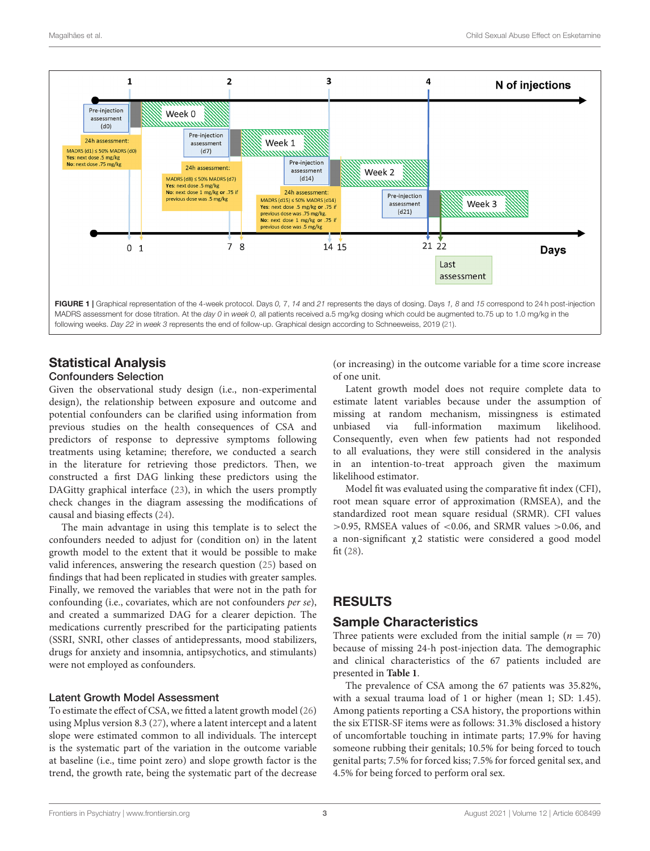

# <span id="page-2-0"></span>Statistical Analysis

### Confounders Selection

Given the observational study design (i.e., non-experimental design), the relationship between exposure and outcome and potential confounders can be clarified using information from previous studies on the health consequences of CSA and predictors of response to depressive symptoms following treatments using ketamine; therefore, we conducted a search in the literature for retrieving those predictors. Then, we constructed a first DAG linking these predictors using the DAGitty graphical interface [\(23\)](#page-6-0), in which the users promptly check changes in the diagram assessing the modifications of causal and biasing effects [\(24\)](#page-6-1).

The main advantage in using this template is to select the confounders needed to adjust for (condition on) in the latent growth model to the extent that it would be possible to make valid inferences, answering the research question [\(25\)](#page-6-2) based on findings that had been replicated in studies with greater samples. Finally, we removed the variables that were not in the path for confounding (i.e., covariates, which are not confounders per se), and created a summarized DAG for a clearer depiction. The medications currently prescribed for the participating patients (SSRI, SNRI, other classes of antidepressants, mood stabilizers, drugs for anxiety and insomnia, antipsychotics, and stimulants) were not employed as confounders.

### Latent Growth Model Assessment

To estimate the effect of CSA, we fitted a latent growth model [\(26\)](#page-6-3) using Mplus version 8.3 [\(27\)](#page-6-4), where a latent intercept and a latent slope were estimated common to all individuals. The intercept is the systematic part of the variation in the outcome variable at baseline (i.e., time point zero) and slope growth factor is the trend, the growth rate, being the systematic part of the decrease (or increasing) in the outcome variable for a time score increase of one unit.

Latent growth model does not require complete data to estimate latent variables because under the assumption of missing at random mechanism, missingness is estimated unbiased via full-information maximum likelihood. Consequently, even when few patients had not responded to all evaluations, they were still considered in the analysis in an intention-to-treat approach given the maximum likelihood estimator.

Model fit was evaluated using the comparative fit index (CFI), root mean square error of approximation (RMSEA), and the standardized root mean square residual (SRMR). CFI values  $>0.95$ , RMSEA values of <0.06, and SRMR values  $>0.06$ , and a non-significant χ2 statistic were considered a good model fit [\(28\)](#page-6-5).

# RESULTS

# Sample Characteristics

Three patients were excluded from the initial sample ( $n = 70$ ) because of missing 24-h post-injection data. The demographic and clinical characteristics of the 67 patients included are presented in **[Table 1](#page-3-0)**.

The prevalence of CSA among the 67 patients was 35.82%, with a sexual trauma load of 1 or higher (mean 1; SD: 1.45). Among patients reporting a CSA history, the proportions within the six ETISR-SF items were as follows: 31.3% disclosed a history of uncomfortable touching in intimate parts; 17.9% for having someone rubbing their genitals; 10.5% for being forced to touch genital parts; 7.5% for forced kiss; 7.5% for forced genital sex, and 4.5% for being forced to perform oral sex.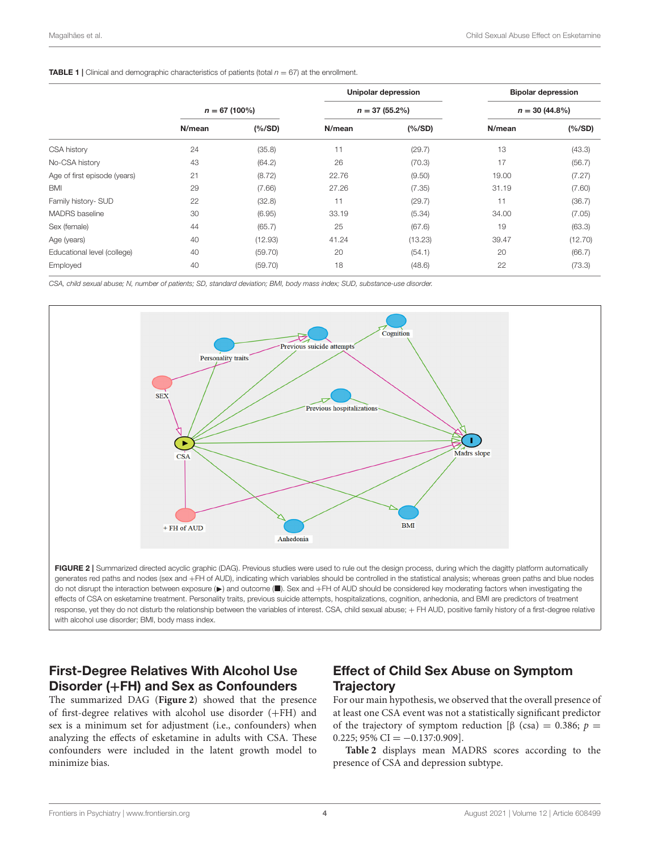#### <span id="page-3-0"></span>**TABLE 1** | Clinical and demographic characteristics of patients (total  $n = 67$ ) at the enrollment.

|                              |                 |         |        | <b>Unipolar depression</b> | <b>Bipolar depression</b> |         |  |
|------------------------------|-----------------|---------|--------|----------------------------|---------------------------|---------|--|
|                              | $n = 67(100\%)$ |         |        | $n = 37(55.2\%)$           | $n = 30 (44.8\%)$         |         |  |
|                              | N/mean          | (% /SD) | N/mean | (% /SD)                    | N/mean                    | (%/SD)  |  |
| CSA history                  | 24              | (35.8)  | 11     | (29.7)                     | 13                        | (43.3)  |  |
| No-CSA history               | 43              | (64.2)  | 26     | (70.3)                     | 17                        | (56.7)  |  |
| Age of first episode (years) | 21              | (8.72)  | 22.76  | (9.50)                     | 19.00                     | (7.27)  |  |
| <b>BMI</b>                   | 29              | (7.66)  | 27.26  | (7.35)                     | 31.19                     | (7.60)  |  |
| Family history- SUD          | 22              | (32.8)  | 11     | (29.7)                     | 11                        | (36.7)  |  |
| <b>MADRS</b> baseline        | 30              | (6.95)  | 33.19  | (5.34)                     | 34.00                     | (7.05)  |  |
| Sex (female)                 | 44              | (65.7)  | 25     | (67.6)                     | 19                        | (63.3)  |  |
| Age (years)                  | 40              | (12.93) | 41.24  | (13.23)                    | 39.47                     | (12.70) |  |
| Educational level (college)  | 40              | (59.70) | 20     | (54.1)                     | 20                        | (66.7)  |  |
| Employed                     | 40              | (59.70) | 18     | (48.6)                     | 22                        | (73.3)  |  |

CSA, child sexual abuse; N, number of patients; SD, standard deviation; BMI, body mass index; SUD, substance-use disorder.



<span id="page-3-1"></span>FIGURE 2 | Summarized directed acyclic graphic (DAG). Previous studies were used to rule out the design process, during which the dagitty platform automatically generates red paths and nodes (sex and +FH of AUD), indicating which variables should be controlled in the statistical analysis; whereas green paths and blue nodes do not disrupt the interaction between exposure (▶) and outcome (■). Sex and +FH of AUD should be considered key moderating factors when investigating the effects of CSA on esketamine treatment. Personality traits, previous suicide attempts, hospitalizations, cognition, anhedonia, and BMI are predictors of treatment response, yet they do not disturb the relationship between the variables of interest. CSA, child sexual abuse; + FH AUD, positive family history of a first-degree relative with alcohol use disorder; BMI, body mass index.

# First-Degree Relatives With Alcohol Use Disorder (+FH) and Sex as Confounders

The summarized DAG (**[Figure 2](#page-3-1)**) showed that the presence of first-degree relatives with alcohol use disorder (+FH) and sex is a minimum set for adjustment (i.e., confounders) when analyzing the effects of esketamine in adults with CSA. These confounders were included in the latent growth model to minimize bias.

# Effect of Child Sex Abuse on Symptom **Trajectory**

For our main hypothesis, we observed that the overall presence of at least one CSA event was not a statistically significant predictor of the trajectory of symptom reduction [β (csa) = 0.386;  $p =$  $0.225$ ; 95% CI =  $-0.137$ :0.909].

**[Table 2](#page-4-0)** displays mean MADRS scores according to the presence of CSA and depression subtype.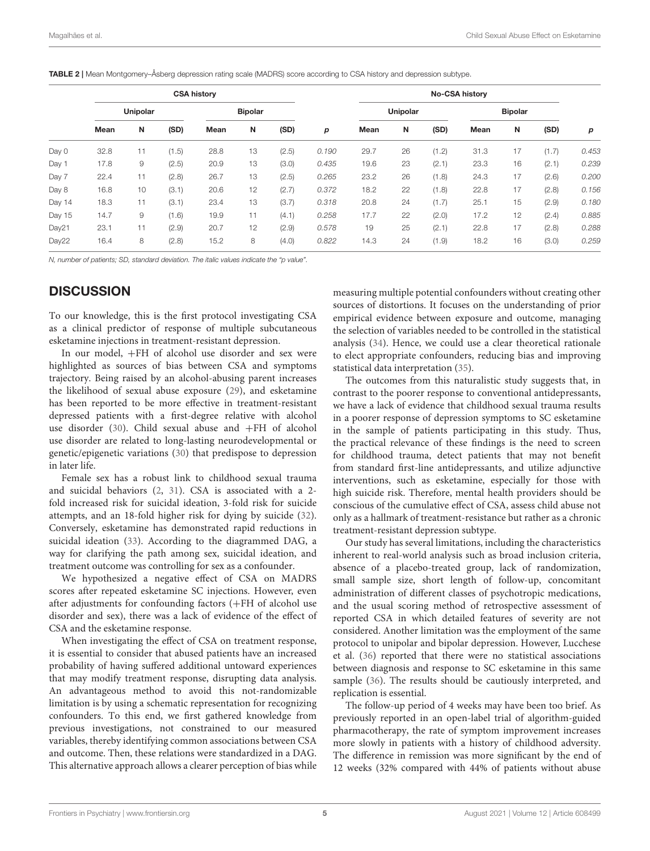<span id="page-4-0"></span>TABLE 2 | Mean Montgomery–Åsberg depression rating scale (MADRS) score according to CSA history and depression subtype.

|        | <b>CSA history</b> |    |                |      |    |          |       | <b>No-CSA history</b> |    |       |      |    |       |       |
|--------|--------------------|----|----------------|------|----|----------|-------|-----------------------|----|-------|------|----|-------|-------|
|        | Unipolar           |    | <b>Bipolar</b> |      |    | Unipolar |       | <b>Bipolar</b>        |    |       |      |    |       |       |
|        | Mean               | N  | (SD)           | Mean | N  | (SD)     | р     | Mean                  | N  | (SD)  | Mean | N  | (SD)  | р     |
| Day 0  | 32.8               | 11 | (1.5)          | 28.8 | 13 | (2.5)    | 0.190 | 29.7                  | 26 | (1.2) | 31.3 | 17 | (1.7) | 0.453 |
| Day 1  | 17.8               | 9  | (2.5)          | 20.9 | 13 | (3.0)    | 0.435 | 19.6                  | 23 | (2.1) | 23.3 | 16 | (2.1) | 0.239 |
| Day 7  | 22.4               | 11 | (2.8)          | 26.7 | 13 | (2.5)    | 0.265 | 23.2                  | 26 | (1.8) | 24.3 | 17 | (2.6) | 0.200 |
| Day 8  | 16.8               | 10 | (3.1)          | 20.6 | 12 | (2.7)    | 0.372 | 18.2                  | 22 | (1.8) | 22.8 | 17 | (2.8) | 0.156 |
| Day 14 | 18.3               | 11 | (3.1)          | 23.4 | 13 | (3.7)    | 0.318 | 20.8                  | 24 | (1.7) | 25.1 | 15 | (2.9) | 0.180 |
| Day 15 | 14.7               | 9  | (1.6)          | 19.9 | 11 | (4.1)    | 0.258 | 17.7                  | 22 | (2.0) | 17.2 | 12 | (2.4) | 0.885 |
| Day21  | 23.1               | 11 | (2.9)          | 20.7 | 12 | (2.9)    | 0.578 | 19                    | 25 | (2.1) | 22.8 | 17 | (2.8) | 0.288 |
| Day22  | 16.4               | 8  | (2.8)          | 15.2 | 8  | (4.0)    | 0.822 | 14.3                  | 24 | (1.9) | 18.2 | 16 | (3.0) | 0.259 |

N, number of patients; SD, standard deviation. The italic values indicate the "p value".

# **DISCUSSION**

To our knowledge, this is the first protocol investigating CSA as a clinical predictor of response of multiple subcutaneous esketamine injections in treatment-resistant depression.

In our model, +FH of alcohol use disorder and sex were highlighted as sources of bias between CSA and symptoms trajectory. Being raised by an alcohol-abusing parent increases the likelihood of sexual abuse exposure [\(29\)](#page-6-6), and esketamine has been reported to be more effective in treatment-resistant depressed patients with a first-degree relative with alcohol use disorder [\(30\)](#page-6-7). Child sexual abuse and +FH of alcohol use disorder are related to long-lasting neurodevelopmental or genetic/epigenetic variations [\(30\)](#page-6-7) that predispose to depression in later life.

Female sex has a robust link to childhood sexual trauma and suicidal behaviors [\(2,](#page-5-1) [31\)](#page-6-8). CSA is associated with a 2 fold increased risk for suicidal ideation, 3-fold risk for suicide attempts, and an 18-fold higher risk for dying by suicide [\(32\)](#page-6-9). Conversely, esketamine has demonstrated rapid reductions in suicidal ideation [\(33\)](#page-6-10). According to the diagrammed DAG, a way for clarifying the path among sex, suicidal ideation, and treatment outcome was controlling for sex as a confounder.

We hypothesized a negative effect of CSA on MADRS scores after repeated esketamine SC injections. However, even after adjustments for confounding factors (+FH of alcohol use disorder and sex), there was a lack of evidence of the effect of CSA and the esketamine response.

When investigating the effect of CSA on treatment response, it is essential to consider that abused patients have an increased probability of having suffered additional untoward experiences that may modify treatment response, disrupting data analysis. An advantageous method to avoid this not-randomizable limitation is by using a schematic representation for recognizing confounders. To this end, we first gathered knowledge from previous investigations, not constrained to our measured variables, thereby identifying common associations between CSA and outcome. Then, these relations were standardized in a DAG. This alternative approach allows a clearer perception of bias while measuring multiple potential confounders without creating other sources of distortions. It focuses on the understanding of prior empirical evidence between exposure and outcome, managing the selection of variables needed to be controlled in the statistical analysis [\(34\)](#page-6-11). Hence, we could use a clear theoretical rationale to elect appropriate confounders, reducing bias and improving statistical data interpretation [\(35\)](#page-6-12).

The outcomes from this naturalistic study suggests that, in contrast to the poorer response to conventional antidepressants, we have a lack of evidence that childhood sexual trauma results in a poorer response of depression symptoms to SC esketamine in the sample of patients participating in this study. Thus, the practical relevance of these findings is the need to screen for childhood trauma, detect patients that may not benefit from standard first-line antidepressants, and utilize adjunctive interventions, such as esketamine, especially for those with high suicide risk. Therefore, mental health providers should be conscious of the cumulative effect of CSA, assess child abuse not only as a hallmark of treatment-resistance but rather as a chronic treatment-resistant depression subtype.

Our study has several limitations, including the characteristics inherent to real-world analysis such as broad inclusion criteria, absence of a placebo-treated group, lack of randomization, small sample size, short length of follow-up, concomitant administration of different classes of psychotropic medications, and the usual scoring method of retrospective assessment of reported CSA in which detailed features of severity are not considered. Another limitation was the employment of the same protocol to unipolar and bipolar depression. However, Lucchese et al. [\(36\)](#page-6-13) reported that there were no statistical associations between diagnosis and response to SC esketamine in this same sample [\(36\)](#page-6-13). The results should be cautiously interpreted, and replication is essential.

The follow-up period of 4 weeks may have been too brief. As previously reported in an open-label trial of algorithm-guided pharmacotherapy, the rate of symptom improvement increases more slowly in patients with a history of childhood adversity. The difference in remission was more significant by the end of 12 weeks (32% compared with 44% of patients without abuse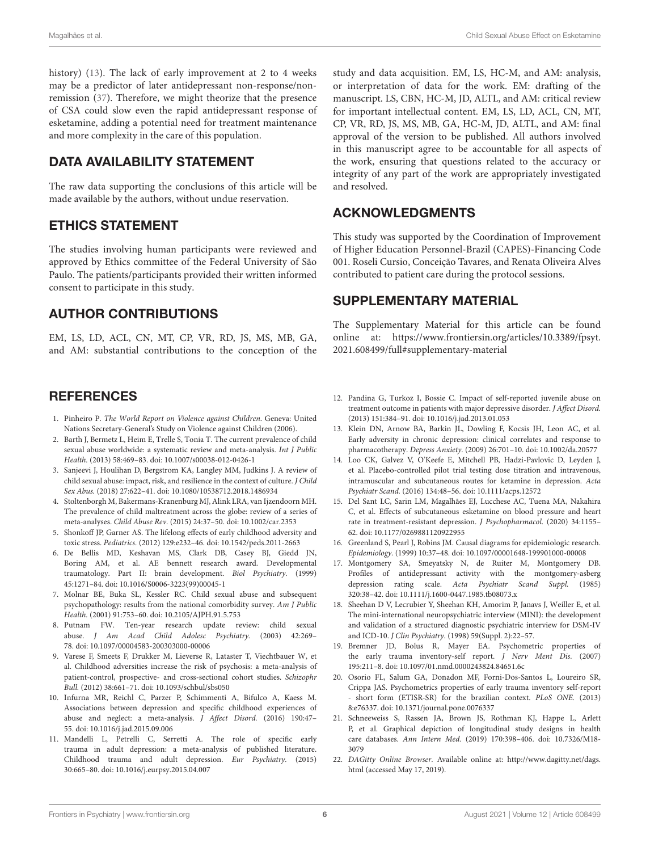history) [\(13\)](#page-5-12). The lack of early improvement at 2 to 4 weeks may be a predictor of later antidepressant non-response/nonremission [\(37\)](#page-6-14). Therefore, we might theorize that the presence of CSA could slow even the rapid antidepressant response of esketamine, adding a potential need for treatment maintenance and more complexity in the care of this population.

# DATA AVAILABILITY STATEMENT

The raw data supporting the conclusions of this article will be made available by the authors, without undue reservation.

# ETHICS STATEMENT

The studies involving human participants were reviewed and approved by Ethics committee of the Federal University of São Paulo. The patients/participants provided their written informed consent to participate in this study.

# AUTHOR CONTRIBUTIONS

EM, LS, LD, ACL, CN, MT, CP, VR, RD, JS, MS, MB, GA, and AM: substantial contributions to the conception of the

### **REFERENCES**

- <span id="page-5-0"></span>1. Pinheiro P. The World Report on Violence against Children. Geneva: United Nations Secretary-General's Study on Violence against Children (2006).
- <span id="page-5-1"></span>2. Barth J, Bermetz L, Heim E, Trelle S, Tonia T. The current prevalence of child sexual abuse worldwide: a systematic review and meta-analysis. Int J Public Health. (2013) 58:469–83. doi: [10.1007/s00038-012-0426-1](https://doi.org/10.1007/s00038-012-0426-1)
- <span id="page-5-2"></span>3. Sanjeevi J, Houlihan D, Bergstrom KA, Langley MM, Judkins J. A review of child sexual abuse: impact, risk, and resilience in the context of culture. J Child Sex Abus. (2018) 27:622–41. doi: [10.1080/10538712.2018.1486934](https://doi.org/10.1080/10538712.2018.1486934)
- <span id="page-5-3"></span>4. Stoltenborgh M, Bakermans-Kranenburg MJ, Alink LRA, van Ijzendoorn MH. The prevalence of child maltreatment across the globe: review of a series of meta-analyses. Child Abuse Rev. (2015) 24:37–50. doi: [10.1002/car.2353](https://doi.org/10.1002/car.2353)
- <span id="page-5-4"></span>5. Shonkoff JP, Garner AS. The lifelong effects of early childhood adversity and toxic stress. Pediatrics. (2012) 129:e232–46. doi: [10.1542/peds.2011-2663](https://doi.org/10.1542/peds.2011-2663)
- <span id="page-5-5"></span>6. De Bellis MD, Keshavan MS, Clark DB, Casey BJ, Giedd JN, Boring AM, et al. AE bennett research award. Developmental traumatology. Part II: brain development. Biol Psychiatry. (1999) 45:1271–84. doi: [10.1016/S0006-3223\(99\)00045-1](https://doi.org/10.1016/S0006-3223(99)00045-1)
- <span id="page-5-6"></span>7. Molnar BE, Buka SL, Kessler RC. Child sexual abuse and subsequent psychopathology: results from the national comorbidity survey. Am J Public Health. (2001) 91:753–60. doi: [10.2105/AJPH.91.5.753](https://doi.org/10.2105/AJPH.91.5.753)
- <span id="page-5-7"></span>8. Putnam FW. Ten-year research update review: child sexual abuse. J Am Acad Child Adolesc Psychiatry. (2003) 42:269– 78. doi: [10.1097/00004583-200303000-00006](https://doi.org/10.1097/00004583-200303000-00006)
- <span id="page-5-8"></span>9. Varese F, Smeets F, Drukker M, Lieverse R, Lataster T, Viechtbauer W, et al. Childhood adversities increase the risk of psychosis: a meta-analysis of patient-control, prospective- and cross-sectional cohort studies. Schizophr Bull. (2012) 38:661–71. doi: [10.1093/schbul/sbs050](https://doi.org/10.1093/schbul/sbs050)
- <span id="page-5-9"></span>10. Infurna MR, Reichl C, Parzer P, Schimmenti A, Bifulco A, Kaess M. Associations between depression and specific childhood experiences of abuse and neglect: a meta-analysis. J Affect Disord. (2016) 190:47– 55. doi: [10.1016/j.jad.2015.09.006](https://doi.org/10.1016/j.jad.2015.09.006)
- <span id="page-5-10"></span>11. Mandelli L, Petrelli C, Serretti A. The role of specific early trauma in adult depression: a meta-analysis of published literature. Childhood trauma and adult depression. Eur Psychiatry. (2015) 30:665–80. doi: [10.1016/j.eurpsy.2015.04.007](https://doi.org/10.1016/j.eurpsy.2015.04.007)

study and data acquisition. EM, LS, HC-M, and AM: analysis, or interpretation of data for the work. EM: drafting of the manuscript. LS, CBN, HC-M, JD, ALTL, and AM: critical review for important intellectual content. EM, LS, LD, ACL, CN, MT, CP, VR, RD, JS, MS, MB, GA, HC-M, JD, ALTL, and AM: final approval of the version to be published. All authors involved in this manuscript agree to be accountable for all aspects of the work, ensuring that questions related to the accuracy or integrity of any part of the work are appropriately investigated and resolved.

# ACKNOWLEDGMENTS

This study was supported by the Coordination of Improvement of Higher Education Personnel-Brazil (CAPES)-Financing Code 001. Roseli Cursio, Conceição Tavares, and Renata Oliveira Alves contributed to patient care during the protocol sessions.

# SUPPLEMENTARY MATERIAL

The Supplementary Material for this article can be found [online at: https://www.frontiersin.org/articles/10.3389/fpsyt.](https://www.frontiersin.org/articles/10.3389/fpsyt.2021.608499/full#supplementary-material) 2021.608499/full#supplementary-material

- <span id="page-5-11"></span>12. Pandina G, Turkoz I, Bossie C. Impact of self-reported juvenile abuse on treatment outcome in patients with major depressive disorder. J Affect Disord. (2013) 151:384–91. doi: [10.1016/j.jad.2013.01.053](https://doi.org/10.1016/j.jad.2013.01.053)
- <span id="page-5-12"></span>13. Klein DN, Arnow BA, Barkin JL, Dowling F, Kocsis JH, Leon AC, et al. Early adversity in chronic depression: clinical correlates and response to pharmacotherapy. Depress Anxiety. (2009) 26:701–10. doi: [10.1002/da.20577](https://doi.org/10.1002/da.20577)
- <span id="page-5-13"></span>14. Loo CK, Galvez V, O'Keefe E, Mitchell PB, Hadzi-Pavlovic D, Leyden J, et al. Placebo-controlled pilot trial testing dose titration and intravenous, intramuscular and subcutaneous routes for ketamine in depression. Acta Psychiatr Scand. (2016) 134:48–56. doi: [10.1111/acps.12572](https://doi.org/10.1111/acps.12572)
- <span id="page-5-14"></span>15. Del Sant LC, Sarin LM, Magalhães EJ, Lucchese AC, Tuena MA, Nakahira C, et al. Effects of subcutaneous esketamine on blood pressure and heart rate in treatment-resistant depression. J Psychopharmacol. (2020) 34:1155– 62. doi: [10.1177/0269881120922955](https://doi.org/10.1177/0269881120922955)
- <span id="page-5-15"></span>16. Greenland S, Pearl J, Robins JM. Causal diagrams for epidemiologic research. Epidemiology. (1999) 10:37–48. doi: [10.1097/00001648-199901000-00008](https://doi.org/10.1097/00001648-199901000-00008)
- <span id="page-5-16"></span>17. Montgomery SA, Smeyatsky N, de Ruiter M, Montgomery DB. Profiles of antidepressant activity with the montgomery-asberg depression rating scale. Acta Psychiatr Scand Suppl. (1985) 320:38–42. doi: [10.1111/j.1600-0447.1985.tb08073.x](https://doi.org/10.1111/j.1600-0447.1985.tb08073.x)
- <span id="page-5-17"></span>18. Sheehan D V, Lecrubier Y, Sheehan KH, Amorim P, Janavs J, Weiller E, et al. The mini-international neuropsychiatric interview (MINI): the development and validation of a structured diagnostic psychiatric interview for DSM-IV and ICD-10. J Clin Psychiatry. (1998) 59(Suppl. 2):22–57.
- <span id="page-5-18"></span>19. Bremner JD, Bolus R, Mayer EA. Psychometric properties of the early trauma inventory-self report. J Nerv Ment Dis. (2007) 195:211–8. doi: [10.1097/01.nmd.0000243824.84651.6c](https://doi.org/10.1097/01.nmd.0000243824.84651.6c)
- <span id="page-5-19"></span>20. Osorio FL, Salum GA, Donadon MF, Forni-Dos-Santos L, Loureiro SR, Crippa JAS. Psychometrics properties of early trauma inventory self-report short form (ETISR-SR) for the brazilian context. PLoS ONE. (2013) 8:e76337. doi: [10.1371/journal.pone.0076337](https://doi.org/10.1371/journal.pone.0076337)
- <span id="page-5-21"></span>21. Schneeweiss S, Rassen JA, Brown JS, Rothman KJ, Happe L, Arlett P, et al. Graphical depiction of longitudinal study designs in health care databases. Ann Intern Med. [\(2019\) 170:398–406. doi: 10.7326/M18-](https://doi.org/10.7326/M18-3079) 3079
- <span id="page-5-20"></span>22. DAGitty Online Browser. Available online at: [http://www.dagitty.net/dags.](http://www.dagitty.net/dags.html) [html](http://www.dagitty.net/dags.html) (accessed May 17, 2019).